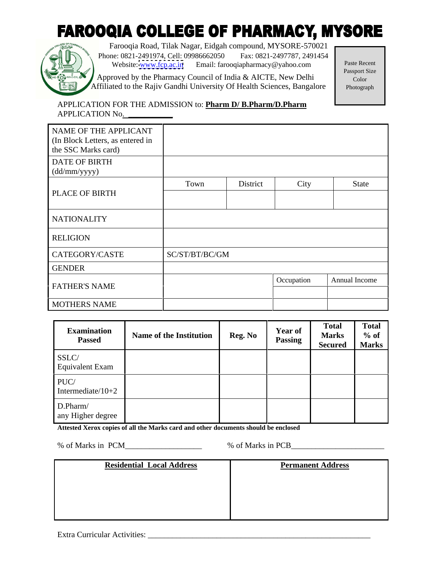# **FAROOQIA COLLEGE OF PHARMACY, MYSORE**



Farooqia Road, Tilak Nagar, Eidgah compound, MYSORE-570021 Phone: 0821-2491974, Cell: 09986662050 Fax: 0821-2497787, 2491454<br>Website: www.fon.ac.in Fmail: farooqianharmacy@yahoo.com Paste Recent Website: [www.fcp.ac.in](http://www.fcp.ac.in) Email: farooqiapharmacy@yahoo.com Paste Recent

Approved by the Pharmacy Council of India & AICTE, New Delhi Passport Size Affiliated to the Rajiv Gandhi University Of Health Sciences, Bangalore

Paste Recent Passport Size Color and the color of the color and the color of the color of the color of the color of the color of the color Photograph

 APPLICATION FOR THE ADMISSION to: **Pharm D/ B.Pharm/D.Pharm** APPLICATION No. **\_\_\_\_\_\_\_\_\_\_\_**

| NAME OF THE APPLICANT<br>(In Block Letters, as entered in<br>the SSC Marks card) |                |          |            |               |
|----------------------------------------------------------------------------------|----------------|----------|------------|---------------|
| DATE OF BIRTH<br>(dd/mm/yyyy)                                                    |                |          |            |               |
| PLACE OF BIRTH                                                                   | Town           | District | City       | State         |
|                                                                                  |                |          |            |               |
| NATIONALITY                                                                      |                |          |            |               |
| RELIGION                                                                         |                |          |            |               |
| CATEGORY/CASTE                                                                   | SC/ST/BT/BC/GM |          |            |               |
| <b>GENDER</b>                                                                    |                |          |            |               |
| <b>FATHER'S NAME</b>                                                             |                |          | Occupation | Annual Income |
| MOTHERS NAME                                                                     |                |          |            |               |

| <b>Examination</b><br><b>Passed</b> | <b>Name of the Institution</b> | <b>Reg. No</b> | <b>Year of</b><br>Passing | <b>Total</b><br><b>Marks</b><br>Secured   Marks | <b>Total</b><br>$%$ of |
|-------------------------------------|--------------------------------|----------------|---------------------------|-------------------------------------------------|------------------------|
| SSLC/<br>Equivalent Exam            |                                |                |                           |                                                 |                        |
| PUC/<br>Intermediate/ $10+2$        |                                |                |                           |                                                 |                        |
| D.Pharm/<br>any Higher degree       |                                |                |                           |                                                 |                        |

**Attested Xerox copies of all the Marks card and other documents should be enclosed**

% of Marks in PCM\_\_\_\_\_\_\_\_\_\_\_\_\_\_\_\_\_ % of Marks in PCB\_

| $\mathbf{D}$ $\mathbf{L}$ $\mathbf{L}$<br>esidential Local Address | <b>Permanent Address</b> |  |  |  |  |
|--------------------------------------------------------------------|--------------------------|--|--|--|--|
|                                                                    |                          |  |  |  |  |
|                                                                    |                          |  |  |  |  |
|                                                                    |                          |  |  |  |  |
|                                                                    |                          |  |  |  |  |